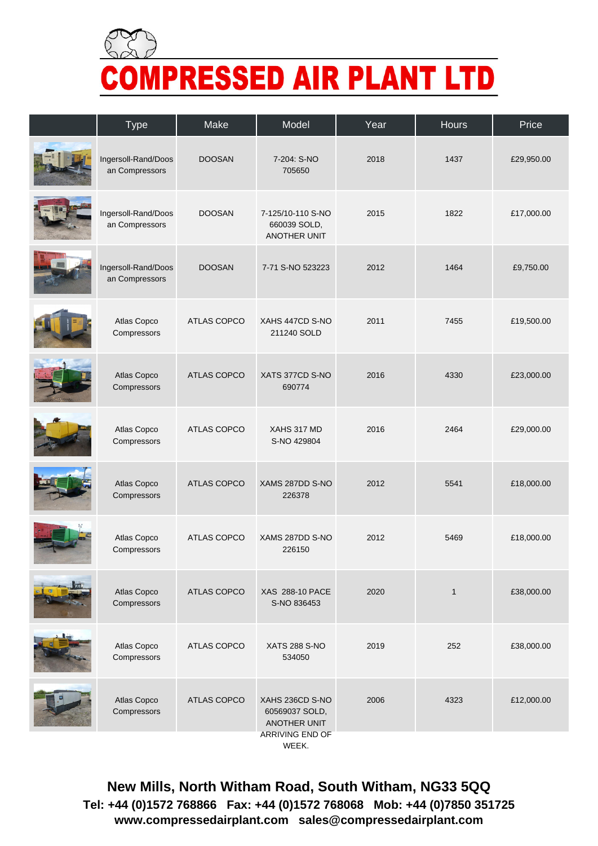

| <b>Type</b>                           | Make               | Model                                                    | Year | Hours        | Price      |
|---------------------------------------|--------------------|----------------------------------------------------------|------|--------------|------------|
| Ingersoll-Rand/Doos<br>an Compressors | <b>DOOSAN</b>      | 7-204: S-NO<br>705650                                    | 2018 | 1437         | £29,950.00 |
| Ingersoll-Rand/Doos<br>an Compressors | <b>DOOSAN</b>      | 7-125/10-110 S-NO<br>660039 SOLD,<br><b>ANOTHER UNIT</b> | 2015 | 1822         | £17,000.00 |
| Ingersoll-Rand/Doos<br>an Compressors | <b>DOOSAN</b>      | 7-71 S-NO 523223                                         | 2012 | 1464         | £9,750.00  |
| Atlas Copco<br>Compressors            | ATLAS COPCO        | XAHS 447CD S-NO<br>211240 SOLD                           | 2011 | 7455         | £19,500.00 |
| Atlas Copco<br>Compressors            | <b>ATLAS COPCO</b> | XATS 377CD S-NO<br>690774                                | 2016 | 4330         | £23,000.00 |
| Atlas Copco<br>Compressors            | <b>ATLAS COPCO</b> | XAHS 317 MD<br>S-NO 429804                               | 2016 | 2464         | £29,000.00 |
| Atlas Copco<br>Compressors            | <b>ATLAS COPCO</b> | XAMS 287DD S-NO<br>226378                                | 2012 | 5541         | £18,000.00 |
| Atlas Copco<br>Compressors            | <b>ATLAS COPCO</b> | XAMS 287DD S-NO<br>226150                                | 2012 | 5469         | £18,000.00 |
| Atlas Copco<br>Compressors            | ATLAS COPCO        | XAS 288-10 PACE<br>S-NO 836453                           | 2020 | $\mathbf{1}$ | £38,000.00 |
| Atlas Copco<br>Compressors            | ATLAS COPCO        | <b>XATS 288 S-NO</b><br>534050                           | 2019 | 252          | £38,000.00 |
| Atlas Copco<br>Compressors            | ATLAS COPCO        | XAHS 236CD S-NO<br>60569037 SOLD,<br>ANOTHER UNIT        | 2006 | 4323         | £12,000.00 |
|                                       |                    | ARRIVING END OF<br>WEEK.                                 |      |              |            |

**New Mills, North Witham Road, South Witham, NG33 5QQ Tel: +44 (0)1572 768866 Fax: +44 (0)1572 768068 Mob: +44 (0)7850 351725 www.compressedairplant.com sales@compressedairplant.com**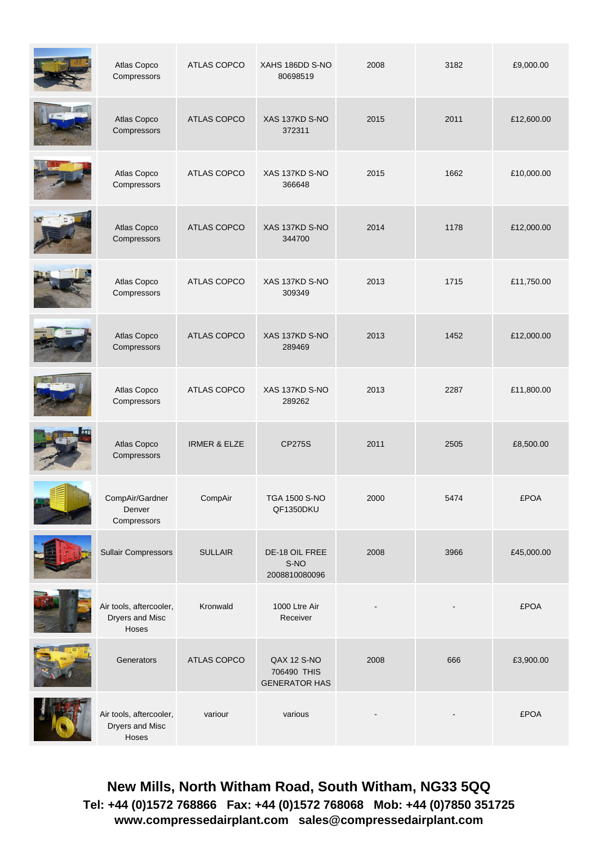| Atlas Copco<br>Compressors                          | ATLAS COPCO             | XAHS 186DD S-NO<br>80698519                        | 2008 | 3182 | £9,000.00   |
|-----------------------------------------------------|-------------------------|----------------------------------------------------|------|------|-------------|
| Atlas Copco<br>Compressors                          | ATLAS COPCO             | XAS 137KD S-NO<br>372311                           | 2015 | 2011 | £12,600.00  |
| Atlas Copco<br>Compressors                          | <b>ATLAS COPCO</b>      | XAS 137KD S-NO<br>366648                           | 2015 | 1662 | £10,000.00  |
| Atlas Copco<br>Compressors                          | ATLAS COPCO             | XAS 137KD S-NO<br>344700                           | 2014 | 1178 | £12,000.00  |
| Atlas Copco<br>Compressors                          | ATLAS COPCO             | XAS 137KD S-NO<br>309349                           | 2013 | 1715 | £11,750.00  |
| Atlas Copco<br>Compressors                          | ATLAS COPCO             | XAS 137KD S-NO<br>289469                           | 2013 | 1452 | £12,000.00  |
| Atlas Copco<br>Compressors                          | ATLAS COPCO             | XAS 137KD S-NO<br>289262                           | 2013 | 2287 | £11,800.00  |
| Atlas Copco<br>Compressors                          | <b>IRMER &amp; ELZE</b> | <b>CP275S</b>                                      | 2011 | 2505 | £8,500.00   |
| CompAir/Gardner<br>Denver<br>Compressors            | CompAir                 | TGA 1500 S-NO<br>QF1350DKU                         | 2000 | 5474 | <b>£POA</b> |
| <b>Sullair Compressors</b>                          | <b>SULLAIR</b>          | DE-18 OIL FREE<br>S-NO<br>2008810080096            | 2008 | 3966 | £45,000.00  |
| Air tools, aftercooler,<br>Dryers and Misc<br>Hoses | Kronwald                | 1000 Ltre Air<br>Receiver                          |      |      | <b>£POA</b> |
| Generators                                          | ATLAS COPCO             | QAX 12 S-NO<br>706490 THIS<br><b>GENERATOR HAS</b> | 2008 | 666  | £3,900.00   |
| Air tools, aftercooler,<br>Dryers and Misc<br>Hoses | variour                 | various                                            |      |      | <b>£POA</b> |

**New Mills, North Witham Road, South Witham, NG33 5QQ Tel: +44 (0)1572 768866 Fax: +44 (0)1572 768068 Mob: +44 (0)7850 351725 www.compressedairplant.com sales@compressedairplant.com**